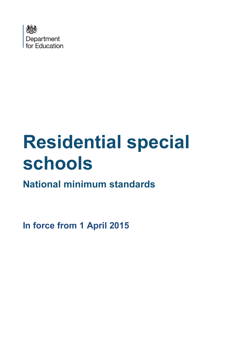

# **Residential special schools**

**National minimum standards**

**In force from 1 April 2015**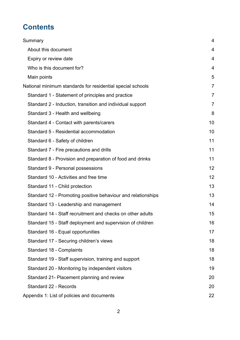# **Contents**

| Summary                                                      | 4              |
|--------------------------------------------------------------|----------------|
| About this document                                          | 4              |
| Expiry or review date                                        | 4              |
| Who is this document for?                                    | 4              |
| Main points                                                  | 5              |
| National minimum standards for residential special schools   | $\overline{7}$ |
| Standard 1 - Statement of principles and practice            | 7              |
| Standard 2 - Induction, transition and individual support    | $\overline{7}$ |
| Standard 3 - Health and wellbeing                            | 8              |
| Standard 4 - Contact with parents/carers                     | 10             |
| Standard 5 - Residential accommodation                       | 10             |
| Standard 6 - Safety of children                              | 11             |
| Standard 7 - Fire precautions and drills                     | 11             |
| Standard 8 - Provision and preparation of food and drinks    | 11             |
| Standard 9 - Personal possessions                            | 12             |
| Standard 10 - Activities and free time                       | 12             |
| Standard 11 - Child protection                               | 13             |
| Standard 12 - Promoting positive behaviour and relationships | 13             |
| Standard 13 - Leadership and management                      | 14             |
| Standard 14 - Staff recruitment and checks on other adults   | 15             |
| Standard 15 - Staff deployment and supervision of children   | 16             |
| Standard 16 - Equal opportunities                            | 17             |
| Standard 17 - Securing children's views                      | 18             |
| Standard 18 - Complaints                                     | 18             |
| Standard 19 - Staff supervision, training and support        | 18             |
| Standard 20 - Monitoring by independent visitors             | 19             |
| Standard 21- Placement planning and review                   | 20             |
| Standard 22 - Records                                        | 20             |
| Appendix 1: List of policies and documents                   | 22             |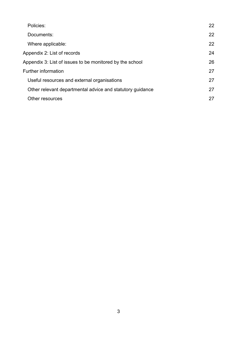| Policies:                                                 | 22 |
|-----------------------------------------------------------|----|
| Documents:                                                | 22 |
| Where applicable:                                         | 22 |
| Appendix 2: List of records                               | 24 |
| Appendix 3: List of issues to be monitored by the school  | 26 |
| <b>Further information</b>                                | 27 |
| Useful resources and external organisations               | 27 |
| Other relevant departmental advice and statutory guidance | 27 |
| Other resources                                           | 27 |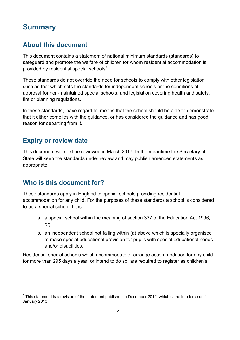## <span id="page-3-0"></span>**Summary**

## <span id="page-3-1"></span>**About this document**

This document contains a statement of national minimum standards (standards) to safeguard and promote the welfare of children for whom residential accommodation is provided by residential special schools $^{\rm 1}.$  $^{\rm 1}.$  $^{\rm 1}.$ 

These standards do not override the need for schools to comply with other legislation such as that which sets the standards for independent schools or the conditions of approval for non-maintained special schools, and legislation covering health and safety, fire or planning regulations.

In these standards, 'have regard to' means that the school should be able to demonstrate that it either complies with the guidance, or has considered the guidance and has good reason for departing from it.

#### <span id="page-3-2"></span>**Expiry or review date**

This document will next be reviewed in March 2017. In the meantime the Secretary of State will keep the standards under review and may publish amended statements as appropriate.

## <span id="page-3-3"></span>**Who is this document for?**

<span id="page-3-5"></span> $\overline{a}$ 

These standards apply in England to special schools providing residential accommodation for any child. For the purposes of these standards a school is considered to be a special school if it is:

- a. a special school within the meaning of section 337 of the Education Act 1996, or;
- b. an independent school not falling within (a) above which is specially organised to make special educational provision for pupils with special educational needs and/or disabilities.

Residential special schools which accommodate or arrange accommodation for any child for more than 295 days a year, or intend to do so, are required to register as children's

<span id="page-3-4"></span> $1$  This statement is a revision of the statement published in December 2012, which came into force on 1 January 2013.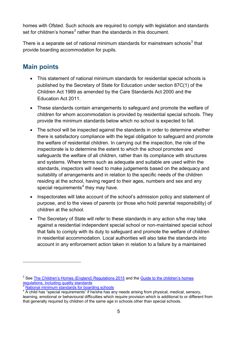homes with Ofsted. Such schools are required to comply with legislation and standards set for children's homes<sup>[2](#page-3-5)</sup> rather than the standards in this document.

There is a separate set of national minimum standards for mainstream schools $3$  that provide boarding accommodation for pupils.

#### <span id="page-4-0"></span>**Main points**

- This statement of national minimum standards for residential special schools is published by the Secretary of State for Education under section 87C(1) of the Children Act 1989 as amended by the Care Standards Act 2000 and the Education Act 2011.
- These standards contain arrangements to safeguard and promote the welfare of children for whom accommodation is provided by residential special schools. They provide the minimum standards below which no school is expected to fall.
- The school will be inspected against the standards in order to determine whether there is satisfactory compliance with the legal obligation to safeguard and promote the welfare of residential children. In carrying out the inspection, the role of the inspectorate is to determine the extent to which the school promotes and safeguards the welfare of all children, rather than its compliance with structures and systems. Where terms such as adequate and suitable are used within the standards, inspectors will need to make judgements based on the adequacy and suitability of arrangements and in relation to the specific needs of the children residing at the school, having regard to their ages, numbers and sex and any special requirements $4$  they may have.
- Inspectorates will take account of the school's admission policy and statement of purpose, and to the views of parents (or those who hold parental responsibility) of children at the school.
- The Secretary of State will refer to these standards in any action s/he may take against a residential independent special school or non-maintained special school that fails to comply with its duty to safeguard and promote the welfare of children in residential accommodation. Local authorities will also take the standards into account in any enforcement action taken in relation to a failure by a maintained

<span id="page-4-3"></span> $2$  See [The Children's Homes \(England\) Regulations 2015](http://www.legislation.gov.uk/uksi/2015/541/contents/made) and the Guide to the children's homes [regulations, including quality standards](https://www.gov.uk/government/publications/childrens-homes-regulations-including-quality-standards-guide)

[National minimum standards for boarding schools](https://www.gov.uk/government/publications/boarding-schools-national-minimum-standards)

<span id="page-4-2"></span><span id="page-4-1"></span><sup>&</sup>lt;sup>4</sup> A child has "special requirements" if he/she has any needs arising from physical, medical, sensory, learning, emotional or behavioural difficulties which require provision which is additional to or different from that generally required by children of the same age in schools other than special schools.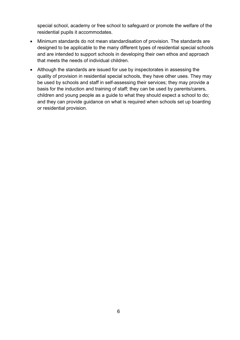special school, academy or free school to safeguard or promote the welfare of the residential pupils it accommodates.

- Minimum standards do not mean standardisation of provision. The standards are designed to be applicable to the many different types of residential special schools and are intended to support schools in developing their own ethos and approach that meets the needs of individual children.
- Although the standards are issued for use by inspectorates in assessing the quality of provision in residential special schools, they have other uses. They may be used by schools and staff in self-assessing their services; they may provide a basis for the induction and training of staff; they can be used by parents/carers, children and young people as a guide to what they should expect a school to do; and they can provide guidance on what is required when schools set up boarding or residential provision.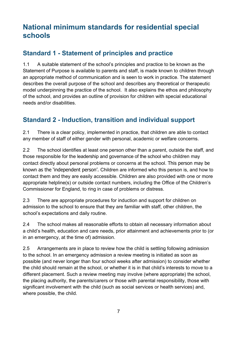## <span id="page-6-0"></span>**National minimum standards for residential special schools**

## <span id="page-6-1"></span>**Standard 1 - Statement of principles and practice**

1.1 A suitable statement of the school's principles and practice to be known as the Statement of Purpose is available to parents and staff, is made known to children through an appropriate method of communication and is seen to work in practice. The statement describes the overall purpose of the school and describes any theoretical or therapeutic model underpinning the practice of the school. It also explains the ethos and philosophy of the school, and provides an outline of provision for children with special educational needs and/or disabilities.

#### <span id="page-6-2"></span>**Standard 2 - Induction, transition and individual support**

2.1 There is a clear policy, implemented in practice, that children are able to contact any member of staff of either gender with personal, academic or welfare concerns.

2.2 The school identifies at least one person other than a parent, outside the staff, and those responsible for the leadership and governance of the school who children may contact directly about personal problems or concerns at the school. This person may be known as the 'independent person'. Children are informed who this person is, and how to contact them and they are easily accessible. Children are also provided with one or more appropriate helpline(s) or outside contact numbers, including the Office of the Children's Commissioner for England, to ring in case of problems or distress.

2.3 There are appropriate procedures for induction and support for children on admission to the school to ensure that they are familiar with staff, other children, the school's expectations and daily routine.

2.4 The school makes all reasonable efforts to obtain all necessary information about a child's health, education and care needs, prior attainment and achievements prior to (or in an emergency, at the time of) admission.

2.5 Arrangements are in place to review how the child is settling following admission to the school. In an emergency admission a review meeting is initiated as soon as possible (and never longer than four school weeks after admission) to consider whether the child should remain at the school, or whether it is in that child's interests to move to a different placement. Such a review meeting may involve (where appropriate) the school, the placing authority, the parents/carers or those with parental responsibility, those with significant involvement with the child (such as social services or health services) and, where possible, the child.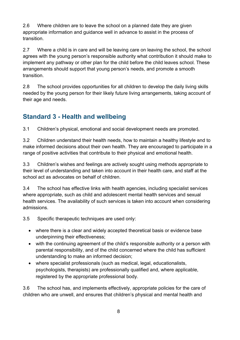2.6 Where children are to leave the school on a planned date they are given appropriate information and guidance well in advance to assist in the process of transition.

2.7 Where a child is in care and will be leaving care on leaving the school, the school agrees with the young person's responsible authority what contribution it should make to implement any pathway or other plan for the child before the child leaves school. These arrangements should support that young person's needs, and promote a smooth transition.

2.8 The school provides opportunities for all children to develop the daily living skills needed by the young person for their likely future living arrangements, taking account of their age and needs.

## <span id="page-7-0"></span>**Standard 3 - Health and wellbeing**

3.1 Children's physical, emotional and social development needs are promoted.

3.2 Children understand their health needs, how to maintain a healthy lifestyle and to make informed decisions about their own health. They are encouraged to participate in a range of positive activities that contribute to their physical and emotional health.

3.3 Children's wishes and feelings are actively sought using methods appropriate to their level of understanding and taken into account in their health care, and staff at the school act as advocates on behalf of children.

3.4 The school has effective links with health agencies, including specialist services where appropriate, such as child and adolescent mental health services and sexual health services. The availability of such services is taken into account when considering admissions.

3.5 Specific therapeutic techniques are used only:

- where there is a clear and widely accepted theoretical basis or evidence base underpinning their effectiveness;
- with the continuing agreement of the child's responsible authority or a person with parental responsibility, and of the child concerned where the child has sufficient understanding to make an informed decision;
- where specialist professionals (such as medical, legal, educationalists, psychologists, therapists) are professionally qualified and, where applicable, registered by the appropriate professional body.

3.6 The school has, and implements effectively, appropriate policies for the care of children who are unwell, and ensures that children's physical and mental health and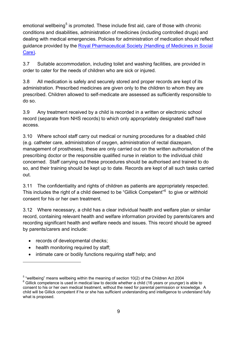emotional wellbeing<sup>[5](#page-4-3)</sup> is promoted. These include first aid, care of those with chronic conditions and disabilities, administration of medicines (including controlled drugs) and dealing with medical emergencies. Policies for administration of medication should reflect guidance provided by the [Royal Pharmaceutical Society \(Handling of](http://www.rpharms.com/support-pdfs/handling-medicines-socialcare-guidance.pdf) Medicines in Social [Care\).](http://www.rpharms.com/support-pdfs/handling-medicines-socialcare-guidance.pdf)

3.7 Suitable accommodation, including toilet and washing facilities, are provided in order to cater for the needs of children who are sick or injured.

3.8 All medication is safely and securely stored and proper records are kept of its administration. Prescribed medicines are given only to the children to whom they are prescribed. Children allowed to self-medicate are assessed as sufficiently responsible to do so.

3.9 Any treatment received by a child is recorded in a written or electronic school record (separate from NHS records) to which only appropriately designated staff have access.

3.10 Where school staff carry out medical or nursing procedures for a disabled child (e.g. catheter care, administration of oxygen, administration of rectal diazepam, management of prostheses), these are only carried out on the written authorisation of the prescribing doctor or the responsible qualified nurse in relation to the individual child concerned. Staff carrying out these procedures should be authorised and trained to do so, and their training should be kept up to date. Records are kept of all such tasks carried out.

3.11 The confidentiality and rights of children as patients are appropriately respected. This includes the right of a child deemed to be "Gillick Competent"<sup>[6](#page-8-0)</sup> to give or withhold consent for his or her own treatment.

3.12 Where necessary, a child has a clear individual health and welfare plan or similar record, containing relevant health and welfare information provided by parents/carers and recording significant health and welfare needs and issues. This record should be agreed by parents/carers and include:

• records of developmental checks;

- health monitoring required by staff;
- intimate care or bodily functions requiring staff help; and

<span id="page-8-1"></span><span id="page-8-0"></span><sup>&</sup>lt;sup>5</sup> "wellbeing" means wellbeing within the meaning of section 10(2) of the Children Act 2004 6 Gillick competence is used in medical law to decide whether a child (16 years or younger) is able to consent to his or her own medical treatment, without the need for parental permission or knowledge. A child will be Gillick competent if he or she has sufficient understanding and intelligence to understand fully what is proposed.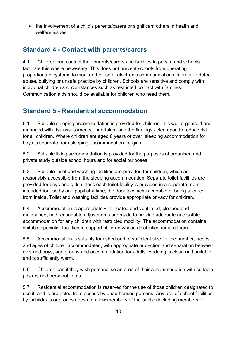• the involvement of a child's parents/carers or significant others in health and welfare issues.

## <span id="page-9-0"></span>**Standard 4 - Contact with parents/carers**

4.1 Children can contact their parents/carers and families in private and schools facilitate this where necessary. This does not prevent schools from operating proportionate systems to monitor the use of electronic communications in order to detect abuse, bullying or unsafe practice by children. Schools are sensitive and comply with individual children's circumstances such as restricted contact with families. Communication aids should be available for children who need them.

## <span id="page-9-1"></span>**Standard 5 - Residential accommodation**

5.1 Suitable sleeping accommodation is provided for children. It is well organised and managed with risk assessments undertaken and the findings acted upon to reduce risk for all children. Where children are aged 8 years or over, sleeping accommodation for boys is separate from sleeping accommodation for girls.

5.2 Suitable living accommodation is provided for the purposes of organised and private study outside school hours and for social purposes.

5.3 Suitable toilet and washing facilities are provided for children, which are reasonably accessible from the sleeping accommodation. Separate toilet facilities are provided for boys and girls unless each toilet facility is provided in a separate room intended for use by one pupil at a time, the door to which is capable of being secured from inside. Toilet and washing facilities provide appropriate privacy for children.

5.4 Accommodation is appropriately lit, heated and ventilated, cleaned and maintained, and reasonable adjustments are made to provide adequate accessible accommodation for any children with restricted mobility. The accommodation contains suitable specialist facilities to support children whose disabilities require them.

5.5 Accommodation is suitably furnished and of sufficient size for the number, needs and ages of children accommodated, with appropriate protection and separation between girls and boys, age groups and accommodation for adults. Bedding is clean and suitable, and is sufficiently warm.

5.6 Children can if they wish personalise an area of their accommodation with suitable posters and personal items.

5.7 Residential accommodation is reserved for the use of those children designated to use it, and is protected from access by unauthorised persons. Any use of school facilities by individuals or groups does not allow members of the public (including members of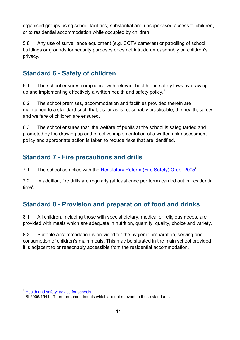organised groups using school facilities) substantial and unsupervised access to children, or to residential accommodation while occupied by children.

5.8 Any use of surveillance equipment (e.g. CCTV cameras) or patrolling of school buildings or grounds for security purposes does not intrude unreasonably on children's privacy.

## <span id="page-10-0"></span>**Standard 6 - Safety of children**

6.1 The school ensures compliance with relevant health and safety laws by drawing up and implementing effectively a written health and safety policy.<sup>[7](#page-8-1)</sup>

6.2 The school premises, accommodation and facilities provided therein are maintained to a standard such that, as far as is reasonably practicable, the health, safety and welfare of children are ensured.

6.3 The school ensures that the welfare of pupils at the school is safeguarded and promoted by the drawing up and effective implementation of a written risk assessment policy and appropriate action is taken to reduce risks that are identified.

## <span id="page-10-1"></span>**Standard 7 - Fire precautions and drills**

7.1 The school complies with the **[Regulatory Reform \(Fire Safety\) Order 2005](http://www.legislation.gov.uk/uksi/2005/1541/contents/made)**<sup>[8](#page-10-3)</sup>.

7.2 In addition, fire drills are regularly (at least once per term) carried out in 'residential time'.

## <span id="page-10-2"></span>**Standard 8 - Provision and preparation of food and drinks**

8.1 All children, including those with special dietary, medical or religious needs, are provided with meals which are adequate in nutrition, quantity, quality, choice and variety.

8.2 Suitable accommodation is provided for the hygienic preparation, serving and consumption of children's main meals. This may be situated in the main school provided it is adjacent to or reasonably accessible from the residential accommodation.

<sup>7</sup> [Health and safety: advice for schools](https://www.gov.uk/government/publications/health-and-safety-advice-for-schools)

<span id="page-10-3"></span><sup>&</sup>lt;sup>8</sup> SI 2005/1541 - There are amendments which are not relevant to these standards.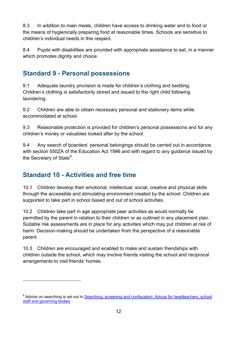8.3 In addition to main meals, children have access to drinking water and to food or the means of hygienically preparing food at reasonable times. Schools are sensitive to children's individual needs in this respect.

8.4 Pupils with disabilities are provided with appropriate assistance to eat, in a manner which promotes dignity and choice.

## <span id="page-11-0"></span>**Standard 9 - Personal possessions**

9.1 Adequate laundry provision is made for children's clothing and bedding. Children's clothing is satisfactorily stored and issued to the right child following laundering.

9.2 Children are able to obtain necessary personal and stationery items while accommodated at school.

9.3 Reasonable protection is provided for children's personal possessions and for any children's money or valuables looked after by the school.

9.4 Any search of boarders' personal belongings should be carried out in accordance with section 550ZA of the Education Act 1996 and with regard to any guidance issued by the Secretary of State $^9$  $^9$ .

## <span id="page-11-1"></span>**Standard 10 - Activities and free time**

 $\overline{a}$ 

10.1 Children develop their emotional, intellectual, social, creative and physical skills through the accessible and stimulating environment created by the school. Children are supported to take part in school based and out of school activities.

10.2 Children take part in age appropriate peer activities as would normally be permitted by the parent in relation to their children or as outlined in any placement plan. Suitable risk assessments are in place for any activities which may put children at risk of harm. Decision-making should be undertaken from the perspective of a reasonable parent.

10.3 Children are encouraged and enabled to make and sustain friendships with children outside the school, which may involve friends visiting the school and reciprocal arrangements to visit friends' homes.

<span id="page-11-2"></span><sup>&</sup>lt;sup>9</sup> Advice on searching is set out in Searching, screening and confiscation: Advice for headteachers, school [staff and governing bodies](https://www.gov.uk/government/publications/searching-screening-and-confiscation)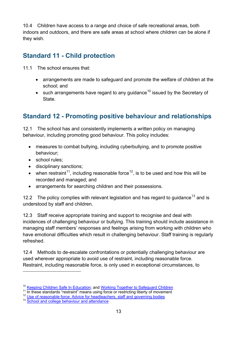10.4 Children have access to a range and choice of safe recreational areas, both indoors and outdoors, and there are safe areas at school where children can be alone if they wish.

## <span id="page-12-0"></span>**Standard 11 - Child protection**

- 11.1 The school ensures that:
	- arrangements are made to safeguard and promote the welfare of children at the school; and
	- such arrangements have regard to any guidance<sup>[10](#page-11-2)</sup> issued by the Secretary of State.

## <span id="page-12-1"></span>**Standard 12 - Promoting positive behaviour and relationships**

12.1 The school has and consistently implements a written policy on managing behaviour, including promoting good behaviour. This policy includes:

- measures to combat bullying, including cyberbullying, and to promote positive behaviour;
- school rules:

 $\overline{a}$ 

- disciplinary sanctions;
- when restraint<sup>11</sup>, including reasonable force<sup>12</sup>, is to be used and how this will be recorded and managed; and
- arrangements for searching children and their possessions.

12.2 The policy complies with relevant legislation and has regard to guidance<sup>[13](#page-12-4)</sup> and is understood by staff and children.

12.3 Staff receive appropriate training and support to recognise and deal with incidences of challenging behaviour or bullying. This training should include assistance in managing staff members' responses and feelings arising from working with children who have emotional difficulties which result in challenging behaviour. Staff training is regularly refreshed.

12.4 Methods to de-escalate confrontations or potentially challenging behaviour are used wherever appropriate to avoid use of restraint, including reasonable force. Restraint, including reasonable force, is only used in exceptional circumstances, to

<sup>&</sup>lt;sup>10</sup> [Keeping Children Safe In Education;](https://www.gov.uk/government/publications/keeping-children-safe-in-education) and [Working Together to Safeguard Children](https://www.gov.uk/government/publications/working-together-to-safeguard-children)<br><sup>11</sup> In these standards "restraint" means using force or restricting liberty of movement<br><sup>12</sup> Use of reasonable force: Advice for headtea

<span id="page-12-4"></span><span id="page-12-3"></span><span id="page-12-2"></span>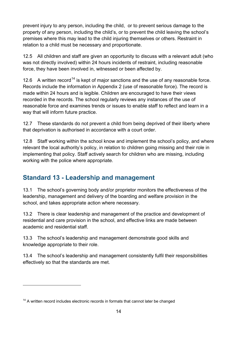prevent injury to any person, including the child, or to prevent serious damage to the property of any person, including the child's, or to prevent the child leaving the school's premises where this may lead to the child injuring themselves or others. Restraint in relation to a child must be necessary and proportionate.

12.5 All children and staff are given an opportunity to discuss with a relevant adult (who was not directly involved) within 24 hours incidents of restraint, including reasonable force, they have been involved in, witnessed or been affected by.

12.6 A written record<sup>[14](#page-12-4)</sup> is kept of major sanctions and the use of any reasonable force. Records include the information in Appendix 2 (use of reasonable force). The record is made within 24 hours and is legible. Children are encouraged to have their views recorded in the records. The school regularly reviews any instances of the use of reasonable force and examines trends or issues to enable staff to reflect and learn in a way that will inform future practice.

12.7 These standards do not prevent a child from being deprived of their liberty where that deprivation is authorised in accordance with a court order.

12.8 Staff working within the school know and implement the school's policy, and where relevant the local authority's policy, in relation to children going missing and their role in implementing that policy. Staff actively search for children who are missing, including working with the police where appropriate.

## <span id="page-13-0"></span>**Standard 13 - Leadership and management**

13.1 The school's governing body and/or proprietor monitors the effectiveness of the leadership, management and delivery of the boarding and welfare provision in the school, and takes appropriate action where necessary.

13.2 There is clear leadership and management of the practice and development of residential and care provision in the school, and effective links are made between academic and residential staff.

13.3 The school's leadership and management demonstrate good skills and knowledge appropriate to their role.

13.4 The school's leadership and management consistently fulfil their responsibilities effectively so that the standards are met.

<span id="page-13-1"></span><sup>&</sup>lt;sup>14</sup> A written record includes electronic records in formats that cannot later be changed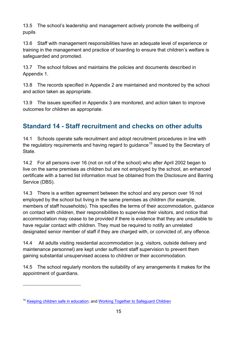13.5 The school's leadership and management actively promote the wellbeing of pupils

13.6 Staff with management responsibilities have an adequate level of experience or training in the management and practice of boarding to ensure that children's welfare is safeguarded and promoted.

13.7 The school follows and maintains the policies and documents described in Appendix 1.

13.8 The records specified in Appendix 2 are maintained and monitored by the school and action taken as appropriate.

13.9 The issues specified in Appendix 3 are monitored, and action taken to improve outcomes for children as appropriate.

## <span id="page-14-0"></span>**Standard 14 - Staff recruitment and checks on other adults**

14.1 Schools operate safe recruitment and adopt recruitment procedures in line with the regulatory requirements and having regard to guidance<sup>[15](#page-13-1)</sup> issued by the Secretary of State.

14.2 For all persons over 16 (not on roll of the school) who after April 2002 began to live on the same premises as children but are not employed by the school, an enhanced certificate with a barred list information must be obtained from the Disclosure and Barring Service (DBS).

14.3 There is a written agreement between the school and any person over 16 not employed by the school but living in the same premises as children (for example, members of staff households). This specifies the terms of their accommodation, guidance on contact with children, their responsibilities to supervise their visitors, and notice that accommodation may cease to be provided if there is evidence that they are unsuitable to have regular contact with children. They must be required to notify an unrelated designated senior member of staff if they are charged with, or convicted of, any offence.

14.4 All adults visiting residential accommodation (e.g. visitors, outside delivery and maintenance personnel) are kept under sufficient staff supervision to prevent them gaining substantial unsupervised access to children or their accommodation.

<span id="page-14-1"></span>14.5 The school regularly monitors the suitability of any arrangements it makes for the appointment of guardians.

<sup>&</sup>lt;sup>15</sup> [Keeping children safe in education;](https://www.gov.uk/government/publications/keeping-children-safe-in-education) and [Working Together to Safeguard Children](https://www.gov.uk/government/publications/working-together-to-safeguard-children)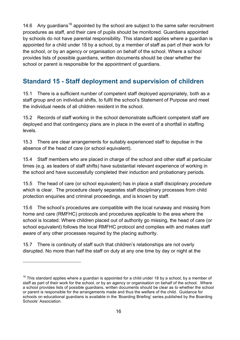14.6 Any guardians<sup>[16](#page-14-1)</sup> appointed by the school are subject to the same safer recruitment procedures as staff, and their care of pupils should be monitored. Guardians appointed by schools do not have parental responsibility. This standard applies where a guardian is appointed for a child under 18 by a school, by a member of staff as part of their work for the school, or by an agency or organisation on behalf of the school. Where a school provides lists of possible guardians, written documents should be clear whether the school or parent is responsible for the appointment of guardians.

## <span id="page-15-0"></span>**Standard 15 - Staff deployment and supervision of children**

15.1 There is a sufficient number of competent staff deployed appropriately, both as a staff group and on individual shifts, to fulfil the school's Statement of Purpose and meet the individual needs of all children resident in the school.

15.2 Records of staff working in the school demonstrate sufficient competent staff are deployed and that contingency plans are in place in the event of a shortfall in staffing levels.

15.3 There are clear arrangements for suitably experienced staff to deputise in the absence of the head of care (or school equivalent).

15.4 Staff members who are placed in charge of the school and other staff at particular times (e.g. as leaders of staff shifts) have substantial relevant experience of working in the school and have successfully completed their induction and probationary periods.

15.5 The head of care (or school equivalent) has in place a staff disciplinary procedure which is clear. The procedure clearly separates staff disciplinary processes from child protection enquiries and criminal proceedings, and is known by staff.

15.6 The school's procedures are compatible with the local runaway and missing from home and care (RMFHC) protocols and procedures applicable to the area where the school is located. Where children placed out of authority go missing, the head of care (or school equivalent) follows the local RMFHC protocol and complies with and makes staff aware of any other processes required by the placing authority.

15.7 There is continuity of staff such that children's relationships are not overly disrupted. No more than half the staff on duty at any one time by day or night at the

<span id="page-15-1"></span> $16$  This standard applies where a guardian is appointed for a child under 18 by a school, by a member of staff as part of their work for the school, or by an agency or organisation on behalf of the school. Where a school provides lists of possible guardians, written documents should be clear as to whether the school or parent is responsible for the arrangements made and thus the welfare of the child. Guidance for schools on educational guardians is available in the 'Boarding Briefing' series published by the Boarding Schools' Association.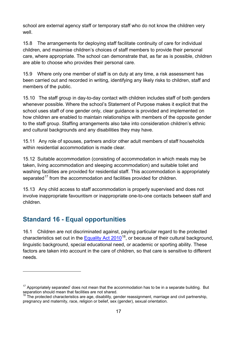school are external agency staff or temporary staff who do not know the children very well.

15.8 The arrangements for deploying staff facilitate continuity of care for individual children, and maximise children's choices of staff members to provide their personal care, where appropriate. The school can demonstrate that, as far as is possible, children are able to choose who provides their personal care.

15.9 Where only one member of staff is on duty at any time, a risk assessment has been carried out and recorded in writing, identifying any likely risks to children, staff and members of the public.

15.10 The staff group in day-to-day contact with children includes staff of both genders whenever possible. Where the school's Statement of Purpose makes it explicit that the school uses staff of one gender only, clear guidance is provided and implemented on how children are enabled to maintain relationships with members of the opposite gender to the staff group. Staffing arrangements also take into consideration children's ethnic and cultural backgrounds and any disabilities they may have.

15.11 Any role of spouses, partners and/or other adult members of staff households within residential accommodation is made clear.

15.12 Suitable accommodation (consisting of accommodation in which meals may be taken, living accommodation and sleeping accommodation) and suitable toilet and washing facilities are provided for residential staff. This accommodation is appropriately separated<sup>[17](#page-15-1)</sup> from the accommodation and facilities provided for children.

15.13 Any child access to staff accommodation is properly supervised and does not involve inappropriate favouritism or inappropriate one-to-one contacts between staff and children.

## <span id="page-16-0"></span>**Standard 16 - Equal opportunities**

 $\overline{a}$ 

16.1 Children are not discriminated against, paying particular regard to the protected characteristics set out in the Equality Act  $2010^{18}$ , or because of their cultural background, linguistic background, special educational need, or academic or sporting ability. These factors are taken into account in the care of children, so that care is sensitive to different needs.

 $17$  Appropriately separated' does not mean that the accommodation has to be in a separate building. But separation should mean that facilities are not shared.

<span id="page-16-1"></span> $18$  The protected characteristics are age, disability, gender reassignment, marriage and civil partnership, pregnancy and maternity, race, religion or belief, sex (gender), sexual orientation.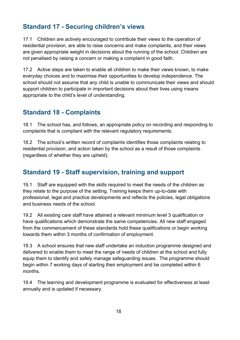## <span id="page-17-0"></span>**Standard 17 - Securing children's views**

17.1 Children are actively encouraged to contribute their views to the operation of residential provision, are able to raise concerns and make complaints, and their views are given appropriate weight in decisions about the running of the school. Children are not penalised by raising a concern or making a complaint in good faith.

17.2 Active steps are taken to enable all children to make their views known, to make everyday choices and to maximise their opportunities to develop independence. The school should not assume that any child is unable to communicate their views and should support children to participate in important decisions about their lives using means appropriate to the child's level of understanding.

#### <span id="page-17-1"></span>**Standard 18 - Complaints**

18.1 The school has, and follows, an appropriate policy on recording and responding to complaints that is compliant with the relevant regulatory requirements.

18.2 The school's written record of complaints identifies those complaints relating to residential provision, and action taken by the school as a result of those complaints (regardless of whether they are upheld).

## <span id="page-17-2"></span>**Standard 19 - Staff supervision, training and support**

19.1 Staff are equipped with the skills required to meet the needs of the children as they relate to the purpose of the setting. Training keeps them up-to-date with professional, legal and practice developments and reflects the policies, legal obligations and business needs of the school.

19.2 All existing care staff have attained a relevant minimum level 3 qualification or have qualifications which demonstrate the same competencies. All new staff engaged from the commencement of these standards hold these qualifications or begin working towards them within 3 months of confirmation of employment.

19.3 A school ensures that new staff undertake an induction programme designed and delivered to enable them to meet the range of needs of children at the school and fully equip them to identify and safely manage safeguarding issues. The programme should begin within 7 working days of starting their employment and be completed within 6 months.

19.4 The learning and development programme is evaluated for effectiveness at least annually and is updated if necessary.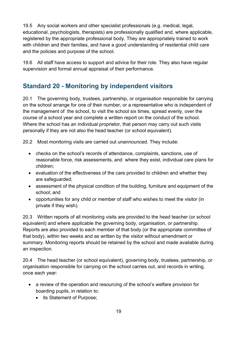19.5 Any social workers and other specialist professionals (e.g. medical, legal, educational, psychologists, therapists) are professionally qualified and, where applicable, registered by the appropriate professional body. They are appropriately trained to work with children and their families, and have a good understanding of residential child care and the policies and purpose of the school.

19.6 All staff have access to support and advice for their role. They also have regular supervision and formal annual appraisal of their performance.

## <span id="page-18-0"></span>**Standard 20 - Monitoring by independent visitors**

20.1 The governing body, trustees, partnership, or organisation responsible for carrying on the school arrange for one of their number, or a representative who is independent of the management of the school, to visit the school six times, spread evenly, over the course of a school year and complete a written report on the conduct of the school. Where the school has an individual proprietor, that person may carry out such visits personally if they are not also the head teacher (or school equivalent).

20.2 Most monitoring visits are carried out unannounced. They include:

- checks on the school's records of attendance, complaints, sanctions, use of reasonable force, risk assessments, and where they exist, individual care plans for children;
- evaluation of the effectiveness of the care provided to children and whether they are safeguarded;
- assessment of the physical condition of the building, furniture and equipment of the school; and
- opportunities for any child or member of staff who wishes to meet the visitor (in private if they wish).

20.3 Written reports of all monitoring visits are provided to the head teacher (or school equivalent) and where applicable the governing body, organisation, or partnership. Reports are also provided to each member of that body (or the appropriate committee of that body), within two weeks and as written by the visitor without amendment or summary. Monitoring reports should be retained by the school and made available during an inspection.

20.4 The head teacher (or school equivalent), governing body, trustees, partnership, or organisation responsible for carrying on the school carries out, and records in writing, once each year:

- a review of the operation and resourcing of the school's welfare provision for boarding pupils, in relation to:
	- its Statement of Purpose;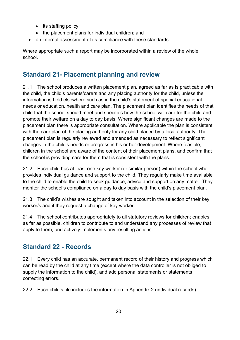- its staffing policy;
- the placement plans for individual children; and
- an internal assessment of its compliance with these standards.

Where appropriate such a report may be incorporated within a review of the whole school.

#### <span id="page-19-0"></span>**Standard 21- Placement planning and review**

21.1 The school produces a written placement plan, agreed as far as is practicable with the child, the child's parents/carers and any placing authority for the child, unless the information is held elsewhere such as in the child's statement of special educational needs or education, health and care plan. The placement plan identifies the needs of that child that the school should meet and specifies how the school will care for the child and promote their welfare on a day to day basis. Where significant changes are made to the placement plan there is appropriate consultation. Where applicable the plan is consistent with the care plan of the placing authority for any child placed by a local authority. The placement plan is regularly reviewed and amended as necessary to reflect significant changes in the child's needs or progress in his or her development. Where feasible, children in the school are aware of the content of their placement plans, and confirm that the school is providing care for them that is consistent with the plans.

21.2 Each child has at least one key worker (or similar person) within the school who provides individual guidance and support to the child. They regularly make time available to the child to enable the child to seek guidance, advice and support on any matter. They monitor the school's compliance on a day to day basis with the child's placement plan.

21.3 The child's wishes are sought and taken into account in the selection of their key worker/s and if they request a change of key worker.

21.4 The school contributes appropriately to all statutory reviews for children; enables, as far as possible, children to contribute to and understand any processes of review that apply to them; and actively implements any resulting actions.

#### <span id="page-19-1"></span>**Standard 22 - Records**

22.1 Every child has an accurate, permanent record of their history and progress which can be read by the child at any time (except where the data controller is not obliged to supply the information to the child), and add personal statements or statements correcting errors.

22.2 Each child's file includes the information in Appendix 2 (individual records).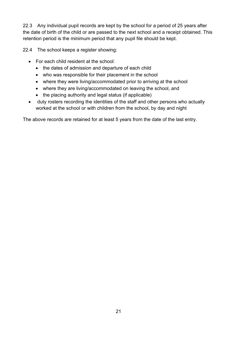22.3 Any individual pupil records are kept by the school for a period of 25 years after the date of birth of the child or are passed to the next school and a receipt obtained. This retention period is the minimum period that any pupil file should be kept.

22.4 The school keeps a register showing:

- For each child resident at the school:
	- the dates of admission and departure of each child
	- who was responsible for their placement in the school
	- where they were living/accommodated prior to arriving at the school
	- where they are living/accommodated on leaving the school, and
	- the placing authority and legal status (if applicable)
- duty rosters recording the identities of the staff and other persons who actually worked at the school or with children from the school, by day and night

The above records are retained for at least 5 years from the date of the last entry.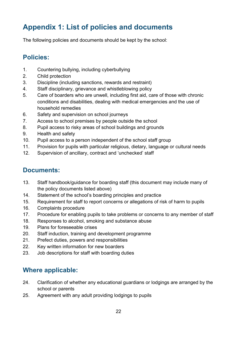# <span id="page-21-0"></span>**Appendix 1: List of policies and documents**

<span id="page-21-1"></span>The following policies and documents should be kept by the school:

## **Policies:**

- 1. Countering bullying, including cyberbullying
- 2. Child protection
- 3. Discipline (including sanctions, rewards and restraint)
- 4. Staff disciplinary, grievance and whistleblowing policy
- 5. Care of boarders who are unwell, including first aid, care of those with chronic conditions and disabilities, dealing with medical emergencies and the use of household remedies
- 6. Safety and supervision on school journeys
- 7. Access to school premises by people outside the school
- 8. Pupil access to risky areas of school buildings and grounds
- 9. Health and safety
- 10. Pupil access to a person independent of the school staff group
- 11. Provision for pupils with particular religious, dietary, language or cultural needs
- <span id="page-21-2"></span>12. Supervision of ancillary, contract and 'unchecked' staff

#### **Documents:**

- 13. Staff handbook/guidance for boarding staff (this document may include many of the policy documents listed above)
- 14. Statement of the school's boarding principles and practice
- 15. Requirement for staff to report concerns or allegations of risk of harm to pupils
- 16. Complaints procedure
- 17. Procedure for enabling pupils to take problems or concerns to any member of staff
- 18. Responses to alcohol, smoking and substance abuse
- 19. Plans for foreseeable crises
- 20. Staff induction, training and development programme
- 21. Prefect duties, powers and responsibilities
- 22. Key written information for new boarders
- <span id="page-21-3"></span>23. Job descriptions for staff with boarding duties

## **Where applicable:**

- 24. Clarification of whether any educational guardians or lodgings are arranged by the school or parents
- 25. Agreement with any adult providing lodgings to pupils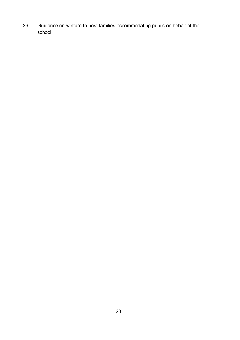26. Guidance on welfare to host families accommodating pupils on behalf of the school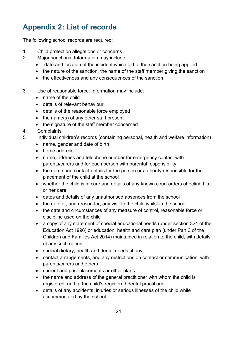# <span id="page-23-0"></span>**Appendix 2: List of records**

The following school records are required:

- 1. Child protection allegations or concerns
- 2. Major sanctions. Information may include:
	- date and location of the incident which led to the sanction being applied
	- the nature of the sanction; the name of the staff member giving the sanction
	- the effectiveness and any consequences of the sanction
- 3. Use of reasonable force. Information may include:
	- name of the child
	- details of relevant behaviour
	- details of the reasonable force employed
	- the name(s) of any other staff present
	- the signature of the staff member concerned
- 4. Complaints
- 5. Individual children's records (containing personal, health and welfare information)
	- name, gender and date of birth
	- home address
	- name, address and telephone number for emergency contact with parents/carers and for each person with parental responsibility
	- the name and contact details for the person or authority responsible for the placement of the child at the school
	- whether the child is in care and details of any known court orders affecting his or her care
	- dates and details of any unauthorised absences from the school
	- the date of, and reason for, any visit to the child whilst in the school
	- the date and circumstances of any measure of control, reasonable force or discipline used on the child
	- a copy of any statement of special educational needs (under section 324 of the Education Act 1996) or education, health and care plan (under Part 3 of the Children and Families Act 2014) maintained in relation to the child, with details of any such needs
	- special dietary, health and dental needs, if any
	- contact arrangements, and any restrictions on contact or communication, with parents/carers and others
	- current and past placements or other plans
	- the name and address of the general practitioner with whom the child is registered, and of the child's registered dental practitioner
	- details of any accidents, injuries or serious illnesses of the child while accommodated by the school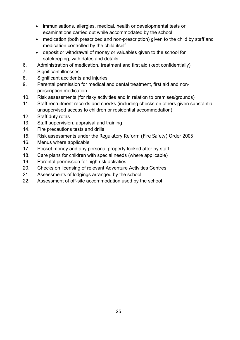- immunisations, allergies, medical, health or developmental tests or examinations carried out while accommodated by the school
- medication (both prescribed and non-prescription) given to the child by staff and medication controlled by the child itself
- deposit or withdrawal of money or valuables given to the school for safekeeping, with dates and details
- 6. Administration of medication, treatment and first aid (kept confidentially)
- 7. Significant illnesses
- 8. Significant accidents and injuries
- 9. Parental permission for medical and dental treatment, first aid and nonprescription medication
- 10. Risk assessments (for risky activities and in relation to premises/grounds)
- 11. Staff recruitment records and checks (including checks on others given substantial unsupervised access to children or residential accommodation)
- 12. Staff duty rotas
- 13. Staff supervision, appraisal and training
- 14. Fire precautions tests and drills
- 15. Risk assessments under the Regulatory Reform (Fire Safety) Order 2005
- 16. Menus where applicable
- 17. Pocket money and any personal property looked after by staff
- 18. Care plans for children with special needs (where applicable)
- 19. Parental permission for high risk activities
- 20. Checks on licensing of relevant Adventure Activities Centres
- 21. Assessments of lodgings arranged by the school
- 22. Assessment of off-site accommodation used by the school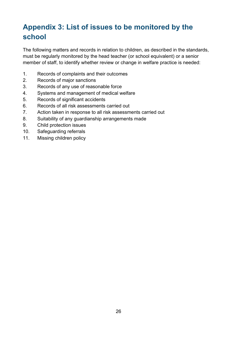# <span id="page-25-0"></span>**Appendix 3: List of issues to be monitored by the school**

The following matters and records in relation to children, as described in the standards, must be regularly monitored by the head teacher (or school equivalent) or a senior member of staff, to identify whether review or change in welfare practice is needed:

- 1. Records of complaints and their outcomes
- 2. Records of major sanctions
- 3. Records of any use of reasonable force
- 4. Systems and management of medical welfare
- 5. Records of significant accidents
- 6. Records of all risk assessments carried out
- 7. Action taken in response to all risk assessments carried out
- 8. Suitability of any guardianship arrangements made
- 9. Child protection issues
- 10. Safeguarding referrals
- 11. Missing children policy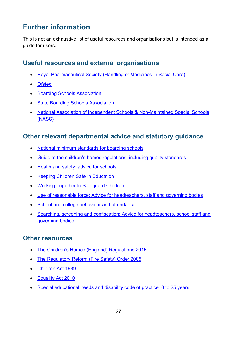## <span id="page-26-0"></span>**Further information**

This is not an exhaustive list of useful resources and organisations but is intended as a guide for users.

#### <span id="page-26-1"></span>**Useful resources and external organisations**

- [Royal Pharmaceutical Society \(Handling of Medicines in Social Care\)](http://www.rpharms.com/support-pdfs/handling-medicines-socialcare-guidance.pdf)
- [Ofsted](http://ofsted.gov.uk/)
- [Boarding Schools Association](http://boarding.org.uk/)
- [State Boarding Schools Association](http://sbsa.org.uk/)
- [National Association of Independent Schools & Non-Maintained Special Schools](http://www.nasschools.org.uk/)  [\(NASS\)](http://www.nasschools.org.uk/)

#### <span id="page-26-2"></span>**Other relevant departmental advice and statutory guidance**

- [National minimum standards for boarding schools](https://www.gov.uk/government/publications/boarding-schools-national-minimum-standards)
- [Guide to the children's homes regulations, including quality standards](https://www.gov.uk/government/publications/childrens-homes-regulations-including-quality-standards-guide)
- [Health and safety: advice for schools](https://www.gov.uk/government/publications/health-and-safety-advice-for-schools)
- [Keeping Children Safe In Education](https://www.gov.uk/government/publications/keeping-children-safe-in-education)
- [Working Together to Safeguard Children](https://www.gov.uk/government/publications/working-together-to-safeguard-children)
- [Use of reasonable force: Advice for headteachers, staff and governing bodies](http://www.gov.uk/government/uploads/system/uploads/attachment_data/file/355362/use_of_reasonable_force.pdf)
- [School and college behaviour and attendance](http://www.education.gov.uk/schools/pupilsupport/behaviour)
- [Searching, screening and confiscation: Advice for headteachers, school staff and](https://www.gov.uk/government/publications/searching-screening-and-confiscation)  [governing bodies](https://www.gov.uk/government/publications/searching-screening-and-confiscation)

#### <span id="page-26-3"></span>**Other resources**

- [The Children's Homes \(England\) Regulations 2015](http://www.legislation.gov.uk/uksi/2015/541/contents/made)
- [The Regulatory Reform \(Fire Safety\) Order 2005](http://www.legislation.gov.uk/uksi/2005/1541/contents/made)
- [Children Act 1989](http://www.legislation.gov.uk/ukpga/1989/41/contents)
- [Equality Act 2010](http://www.legislation.gov.uk/ukpga/2010/15/contents)
- [Special educational needs and disability code of practice: 0 to 25 years](https://www.gov.uk/government/publications/send-code-of-practice-0-to-25)